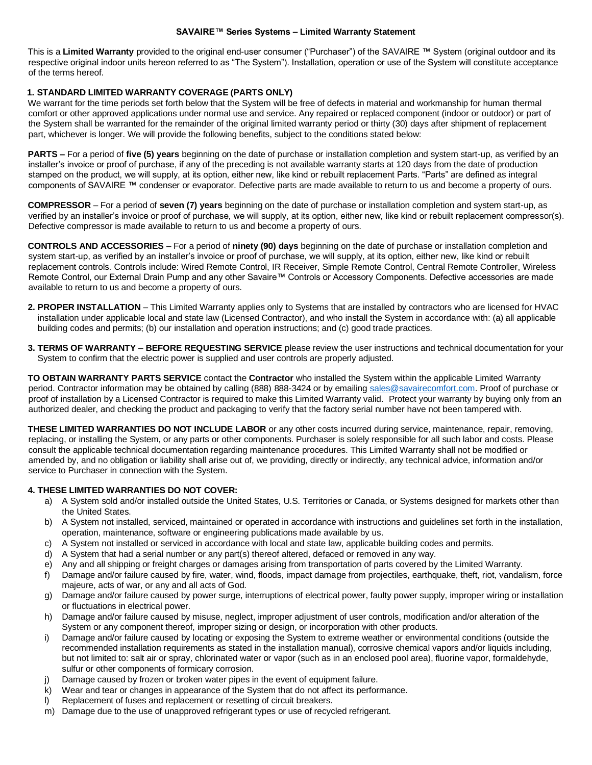## **SAVAIRE™ Series Systems – Limited Warranty Statement**

This is a **Limited Warranty** provided to the original end-user consumer ("Purchaser") of the SAVAIRE ™ System (original outdoor and its respective original indoor units hereon referred to as "The System"). Installation, operation or use of the System will constitute acceptance of the terms hereof.

## **1. STANDARD LIMITED WARRANTY COVERAGE (PARTS ONLY)**

We warrant for the time periods set forth below that the System will be free of defects in material and workmanship for human thermal comfort or other approved applications under normal use and service. Any repaired or replaced component (indoor or outdoor) or part of the System shall be warranted for the remainder of the original limited warranty period or thirty (30) days after shipment of replacement part, whichever is longer. We will provide the following benefits, subject to the conditions stated below:

**PARTS –** For a period of **five (5) years** beginning on the date of purchase or installation completion and system start-up, as verified by an installer's invoice or proof of purchase, if any of the preceding is not available warranty starts at 120 days from the date of production stamped on the product, we will supply, at its option, either new, like kind or rebuilt replacement Parts. "Parts" are defined as integral components of SAVAIRE ™ condenser or evaporator. Defective parts are made available to return to us and become a property of ours.

**COMPRESSOR** – For a period of **seven (7) years** beginning on the date of purchase or installation completion and system start-up, as verified by an installer's invoice or proof of purchase, we will supply, at its option, either new, like kind or rebuilt replacement compressor(s). Defective compressor is made available to return to us and become a property of ours.

**CONTROLS AND ACCESSORIES** – For a period of **ninety (90) days** beginning on the date of purchase or installation completion and system start-up, as verified by an installer's invoice or proof of purchase, we will supply, at its option, either new, like kind or rebuilt replacement controls. Controls include: Wired Remote Control, IR Receiver, Simple Remote Control, Central Remote Controller, Wireless Remote Control, our External Drain Pump and any other Savaire™ Controls or Accessory Components. Defective accessories are made available to return to us and become a property of ours.

- **2. PROPER INSTALLATION** This Limited Warranty applies only to Systems that are installed by contractors who are licensed for HVAC installation under applicable local and state law (Licensed Contractor), and who install the System in accordance with: (a) all applicable building codes and permits; (b) our installation and operation instructions; and (c) good trade practices.
- **3. TERMS OF WARRANTY BEFORE REQUESTING SERVICE** please review the user instructions and technical documentation for your System to confirm that the electric power is supplied and user controls are properly adjusted.

**TO OBTAIN WARRANTY PARTS SERVICE** contact the **Contractor** who installed the System within the applicable Limited Warranty period. Contractor information may be obtained by calling (888) 888-3424 or by emailing sales@savairecomfort.com. Proof of purchase or proof of installation by a Licensed Contractor is required to make this Limited Warranty valid. Protect your warranty by buying only from an authorized dealer, and checking the product and packaging to verify that the factory serial number have not been tampered with.

**THESE LIMITED WARRANTIES DO NOT INCLUDE LABOR** or any other costs incurred during service, maintenance, repair, removing, replacing, or installing the System, or any parts or other components. Purchaser is solely responsible for all such labor and costs. Please consult the applicable technical documentation regarding maintenance procedures. This Limited Warranty shall not be modified or amended by, and no obligation or liability shall arise out of, we providing, directly or indirectly, any technical advice, information and/or service to Purchaser in connection with the System.

## **4. THESE LIMITED WARRANTIES DO NOT COVER:**

- a) A System sold and/or installed outside the United States, U.S. Territories or Canada, or Systems designed for markets other than the United States.
- b) A System not installed, serviced, maintained or operated in accordance with instructions and guidelines set forth in the installation, operation, maintenance, software or engineering publications made available by us.
- c) A System not installed or serviced in accordance with local and state law, applicable building codes and permits.
- d) A System that had a serial number or any part(s) thereof altered, defaced or removed in any way.
- e) Any and all shipping or freight charges or damages arising from transportation of parts covered by the Limited Warranty.
- f) Damage and/or failure caused by fire, water, wind, floods, impact damage from projectiles, earthquake, theft, riot, vandalism, force majeure, acts of war, or any and all acts of God.
- g) Damage and/or failure caused by power surge, interruptions of electrical power, faulty power supply, improper wiring or installation or fluctuations in electrical power.
- h) Damage and/or failure caused by misuse, neglect, improper adjustment of user controls, modification and/or alteration of the System or any component thereof, improper sizing or design, or incorporation with other products.
- i) Damage and/or failure caused by locating or exposing the System to extreme weather or environmental conditions (outside the recommended installation requirements as stated in the installation manual), corrosive chemical vapors and/or liquids including, but not limited to: salt air or spray, chlorinated water or vapor (such as in an enclosed pool area), fluorine vapor, formaldehyde, sulfur or other components of formicary corrosion.
- j) Damage caused by frozen or broken water pipes in the event of equipment failure.
- k) Wear and tear or changes in appearance of the System that do not affect its performance.
- l) Replacement of fuses and replacement or resetting of circuit breakers.
- m) Damage due to the use of unapproved refrigerant types or use of recycled refrigerant.